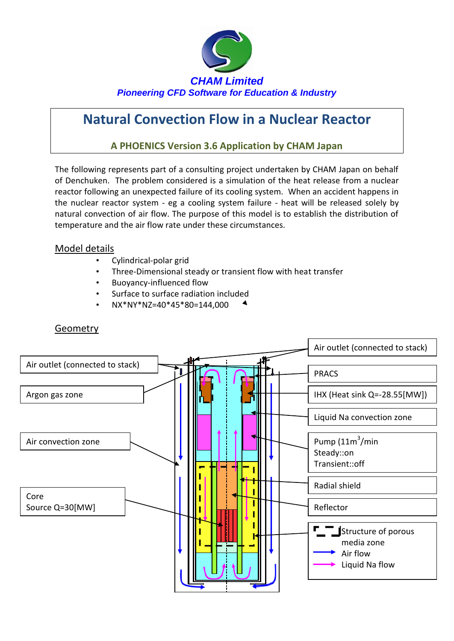

# **Natural Convection Flow in a Nuclear Reactor**

#### **A PHOENICS Version 3.6 Application by CHAM Japan**

The following represents part of a consulting project undertaken by CHAM Japan on behalf of Denchuken. The problem considered is a simulation of the heat release from a nuclear reactor following an unexpected failure of its cooling system. When an accident happens in the nuclear reactor system - eg a cooling system failure - heat will be released solely by natural convection of air flow. The purpose of this model is to establish the distribution of temperature and the air flow rate under these circumstances.

#### Model details

- Cylindrical-polar grid
- Three-Dimensional steady or transient flow with heat transfer
- Buoyancy-influenced flow
- Surface to surface radiation included
- NX\*NY\*NZ=40\*45\*80=144,000



#### **Geometry**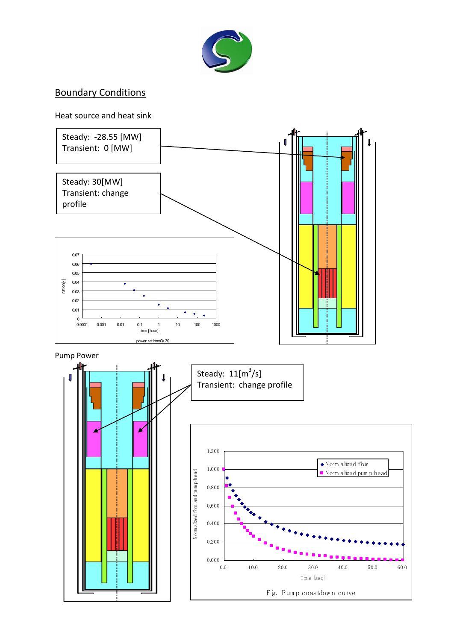

# Boundary Conditions

#### Heat source and heat sink

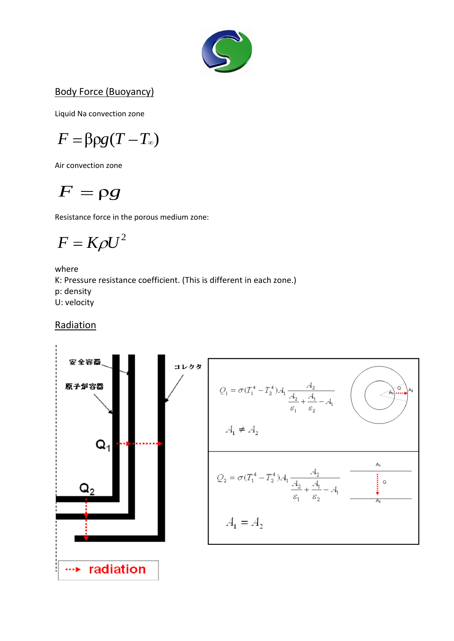

### Body Force (Buoyancy)

Liquid Na convection zone

$$
F = \beta \rho g (T - T_{\infty})
$$

Air convection zone

$$
F=\rho g
$$

Resistance force in the porous medium zone:

$$
F = K\rho U^2
$$

where K: Pressure resistance coefficient. (This is different in each zone.) p: density U: velocity

**Radiation** 

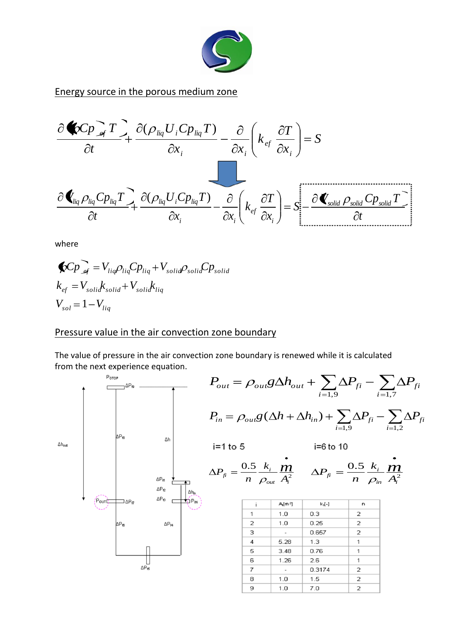

Energy source in the porous medium zone



where

$$
\begin{aligned} \bigotimes C_{P} \bigotimes_{\mathcal{A}} &= V_{liq} \rho_{liq} C_{Pliq} + V_{solid} \rho_{solid} C_{P solid} \\ k_{ef} &= V_{solid} k_{solid} + V_{solid} k_{liq} \\ V_{sol} &= 1 - V_{liq} \end{aligned}
$$

#### Pressure value in the air convection zone boundary

The value of pressure in the air convection zone boundary is renewed while it is calculated from the next experience equation.

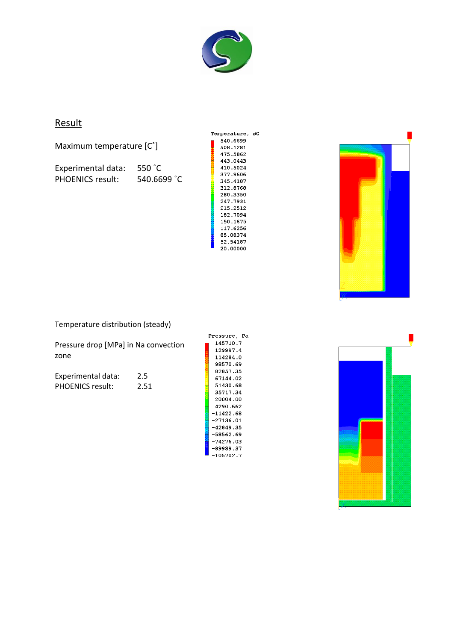

### **Result**

Maximum temperature [C˚]

Experimental data: 550 ˚C PHOENICS result: 540.6699 °C

| Temperature, øC |  |
|-----------------|--|
| 540.6699        |  |
| 508.1281        |  |
| 475.5862        |  |
| 443.0443        |  |
| 410.5024        |  |
| 377.9606        |  |
| 345.4187        |  |
| 312.8768        |  |
| 280.3350        |  |
| 247.7931        |  |
| 215.2512        |  |
| 182.7094        |  |
| 150.1675        |  |
| 117.6256        |  |
| 85.08374        |  |
| 52.54187        |  |
| 20.00000        |  |
|                 |  |



Temperature distribution (steady)

Pressure drop [MPa] in Na convection zone

Experimental data: 2.5 PHOENICS result: 2.51 Pressure, Pa 145710.7 129997.4 114284.0 --------<br>98570.69 82857.35 67144.02 51430.68 35717.34 20004.00 4290.662  $-11422.68$  $-27136.01$  $-42849.35$  $-58562.69$  $-74276.03$  $-89989.37$  $-105702.7$ 

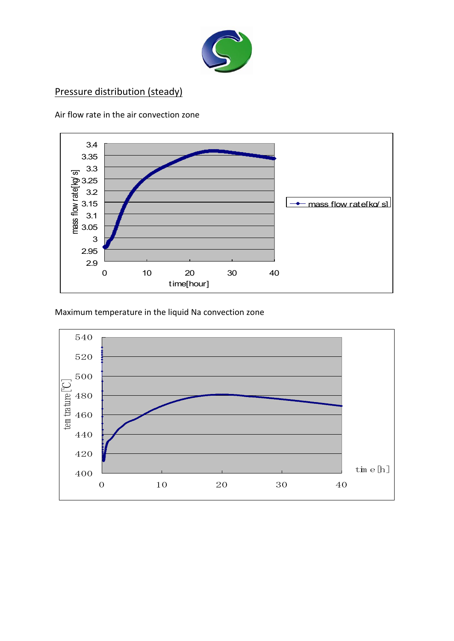

# Pressure distribution (steady)





Maximum temperature in the liquid Na convection zone